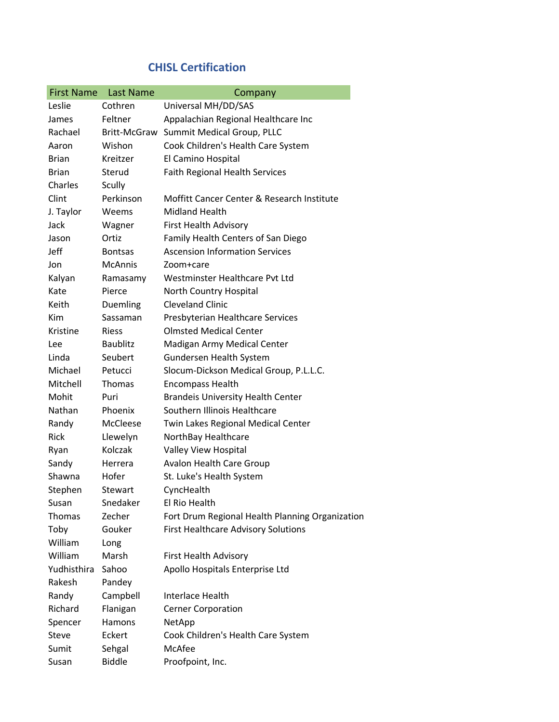## CHISL Certification

| <b>First Name</b> | <b>Last Name</b> | Company                                         |
|-------------------|------------------|-------------------------------------------------|
| Leslie            | Cothren          | Universal MH/DD/SAS                             |
| James             | Feltner          | Appalachian Regional Healthcare Inc             |
| Rachael           | Britt-McGraw     | Summit Medical Group, PLLC                      |
| Aaron             | Wishon           | Cook Children's Health Care System              |
| Brian             | Kreitzer         | El Camino Hospital                              |
| <b>Brian</b>      | Sterud           | <b>Faith Regional Health Services</b>           |
| Charles           | Scully           |                                                 |
| Clint             | Perkinson        | Moffitt Cancer Center & Research Institute      |
| J. Taylor         | Weems            | <b>Midland Health</b>                           |
| Jack              | Wagner           | <b>First Health Advisory</b>                    |
| Jason             | Ortiz            | Family Health Centers of San Diego              |
| Jeff              | <b>Bontsas</b>   | <b>Ascension Information Services</b>           |
| Jon               | <b>McAnnis</b>   | Zoom+care                                       |
| Kalyan            | Ramasamy         | Westminster Healthcare Pvt Ltd                  |
| Kate              | Pierce           | North Country Hospital                          |
| Keith             | Duemling         | <b>Cleveland Clinic</b>                         |
| Kim               | Sassaman         | Presbyterian Healthcare Services                |
| Kristine          | <b>Riess</b>     | <b>Olmsted Medical Center</b>                   |
| Lee               | <b>Baublitz</b>  | Madigan Army Medical Center                     |
| Linda             | Seubert          | Gundersen Health System                         |
| Michael           | Petucci          | Slocum-Dickson Medical Group, P.L.L.C.          |
| Mitchell          | Thomas           | <b>Encompass Health</b>                         |
| Mohit             | Puri             | <b>Brandeis University Health Center</b>        |
| Nathan            | Phoenix          | Southern Illinois Healthcare                    |
| Randy             | McCleese         | Twin Lakes Regional Medical Center              |
| Rick              | Llewelyn         | NorthBay Healthcare                             |
| Ryan              | Kolczak          | Valley View Hospital                            |
| Sandy             | Herrera          | <b>Avalon Health Care Group</b>                 |
| Shawna            | Hofer            | St. Luke's Health System                        |
| Stephen           | Stewart          | CyncHealth                                      |
| Susan             | Snedaker         | El Rio Health                                   |
| <b>Thomas</b>     | Zecher           | Fort Drum Regional Health Planning Organization |
| Toby              | Gouker           | <b>First Healthcare Advisory Solutions</b>      |
| William           | Long             |                                                 |
| William           | Marsh            | First Health Advisory                           |
| Yudhisthira       | Sahoo            | Apollo Hospitals Enterprise Ltd                 |
| Rakesh            | Pandey           |                                                 |
| Randy             | Campbell         | <b>Interlace Health</b>                         |
| Richard           | Flanigan         | <b>Cerner Corporation</b>                       |
| Spencer           | Hamons           | NetApp                                          |
| Steve             | Eckert           | Cook Children's Health Care System              |
| Sumit             | Sehgal           | McAfee                                          |
| Susan             | <b>Biddle</b>    | Proofpoint, Inc.                                |